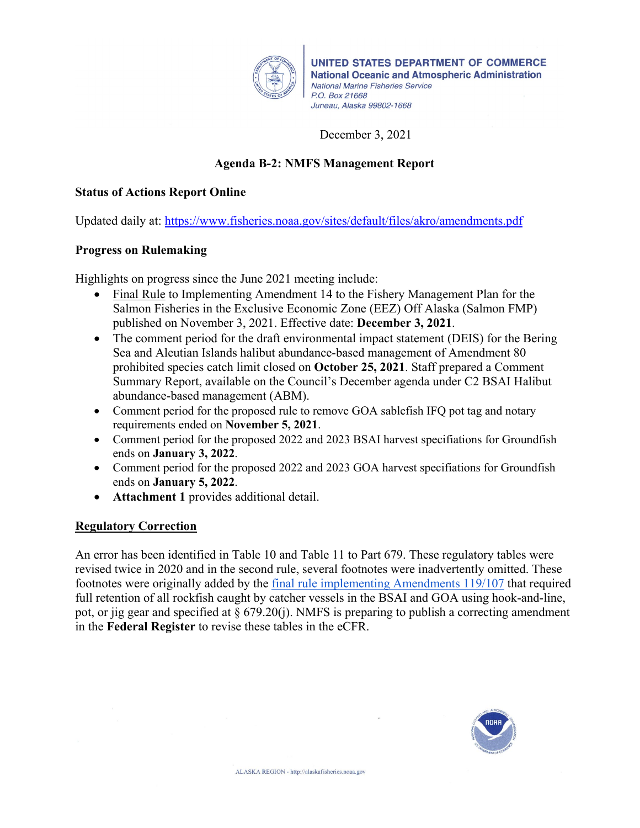

UNITED STATES DEPARTMENT OF COMMERCE **National Oceanic and Atmospheric Administration National Marine Fisheries Service** P.O. Box 21668 Juneau, Alaska 99802-1668

## December 3, 2021

## **Agenda B-2: NMFS Management Report**

#### **Status of Actions Report Online**

Updated daily at:<https://www.fisheries.noaa.gov/sites/default/files/akro/amendments.pdf>

#### **Progress on Rulemaking**

Highlights on progress since the June 2021 meeting include:

- Final Rule to Implementing Amendment 14 to the Fishery Management Plan for the Salmon Fisheries in the Exclusive Economic Zone (EEZ) Off Alaska (Salmon FMP) published on November 3, 2021. Effective date: **December 3, 2021**.
- The comment period for the draft environmental impact statement (DEIS) for the Bering Sea and Aleutian Islands halibut abundance-based management of Amendment 80 prohibited species catch limit closed on **October 25, 2021**. Staff prepared a Comment Summary Report, available on the Council's December agenda under C2 BSAI Halibut abundance-based management (ABM).
- Comment period for the proposed rule to remove GOA sablefish IFQ pot tag and notary requirements ended on **November 5, 2021**.
- Comment period for the proposed 2022 and 2023 BSAI harvest specifiations for Groundfish ends on **January 3, 2022**.
- Comment period for the proposed 2022 and 2023 GOA harvest specifiations for Groundfish ends on **January 5, 2022**.
- **Attachment 1** provides additional detail.

### **Regulatory Correction**

An error has been identified in Table 10 and Table 11 to Part 679. These regulatory tables were revised twice in 2020 and in the second rule, several footnotes were inadvertently omitted. These footnotes were originally added by the [final rule implementing Amendments 119/107](https://www.federalregister.gov/documents/2020/02/20/2020-02708/fisheries-of-the-exclusive-economic-zone-off-alaska-rockfish-management-in-the-groundfish-fisheries) that required full retention of all rockfish caught by catcher vessels in the BSAI and GOA using hook-and-line, pot, or jig gear and specified at  $\S 679.20(i)$ . NMFS is preparing to publish a correcting amendment in the **Federal Register** to revise these tables in the eCFR.

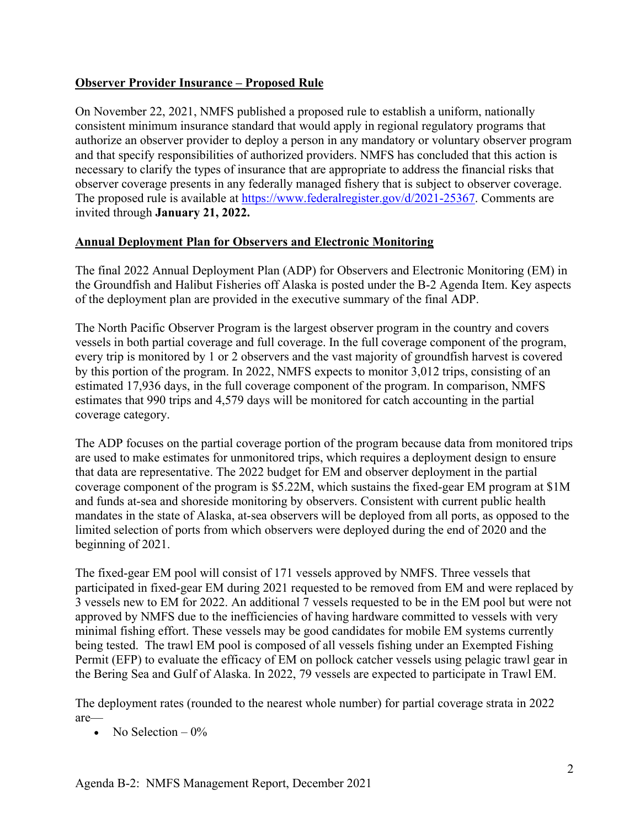## **Observer Provider Insurance – Proposed Rule**

On November 22, 2021, NMFS published a proposed rule to establish a uniform, nationally consistent minimum insurance standard that would apply in regional regulatory programs that authorize an observer provider to deploy a person in any mandatory or voluntary observer program and that specify responsibilities of authorized providers. NMFS has concluded that this action is necessary to clarify the types of insurance that are appropriate to address the financial risks that observer coverage presents in any federally managed fishery that is subject to observer coverage. The proposed rule is available at [https://www.federalregister.gov/d/2021-25367.](https://www.federalregister.gov/d/2021-25367) Comments are invited through **January 21, 2022.**

### **Annual Deployment Plan for Observers and Electronic Monitoring**

The final 2022 Annual Deployment Plan (ADP) for Observers and Electronic Monitoring (EM) in the Groundfish and Halibut Fisheries off Alaska is posted under the B-2 Agenda Item. Key aspects of the deployment plan are provided in the executive summary of the final ADP.

The North Pacific Observer Program is the largest observer program in the country and covers vessels in both partial coverage and full coverage. In the full coverage component of the program, every trip is monitored by 1 or 2 observers and the vast majority of groundfish harvest is covered by this portion of the program. In 2022, NMFS expects to monitor 3,012 trips, consisting of an estimated 17,936 days, in the full coverage component of the program. In comparison, NMFS estimates that 990 trips and 4,579 days will be monitored for catch accounting in the partial coverage category.

The ADP focuses on the partial coverage portion of the program because data from monitored trips are used to make estimates for unmonitored trips, which requires a deployment design to ensure that data are representative. The 2022 budget for EM and observer deployment in the partial coverage component of the program is \$5.22M, which sustains the fixed-gear EM program at \$1M and funds at-sea and shoreside monitoring by observers. Consistent with current public health mandates in the state of Alaska, at-sea observers will be deployed from all ports, as opposed to the limited selection of ports from which observers were deployed during the end of 2020 and the beginning of 2021.

The fixed-gear EM pool will consist of 171 vessels approved by NMFS. Three vessels that participated in fixed-gear EM during 2021 requested to be removed from EM and were replaced by 3 vessels new to EM for 2022. An additional 7 vessels requested to be in the EM pool but were not approved by NMFS due to the inefficiencies of having hardware committed to vessels with very minimal fishing effort. These vessels may be good candidates for mobile EM systems currently being tested. The trawl EM pool is composed of all vessels fishing under an Exempted Fishing Permit (EFP) to evaluate the efficacy of EM on pollock catcher vessels using pelagic trawl gear in the Bering Sea and Gulf of Alaska. In 2022, 79 vessels are expected to participate in Trawl EM.

The deployment rates (rounded to the nearest whole number) for partial coverage strata in 2022 are—

• No Selection  $-0\%$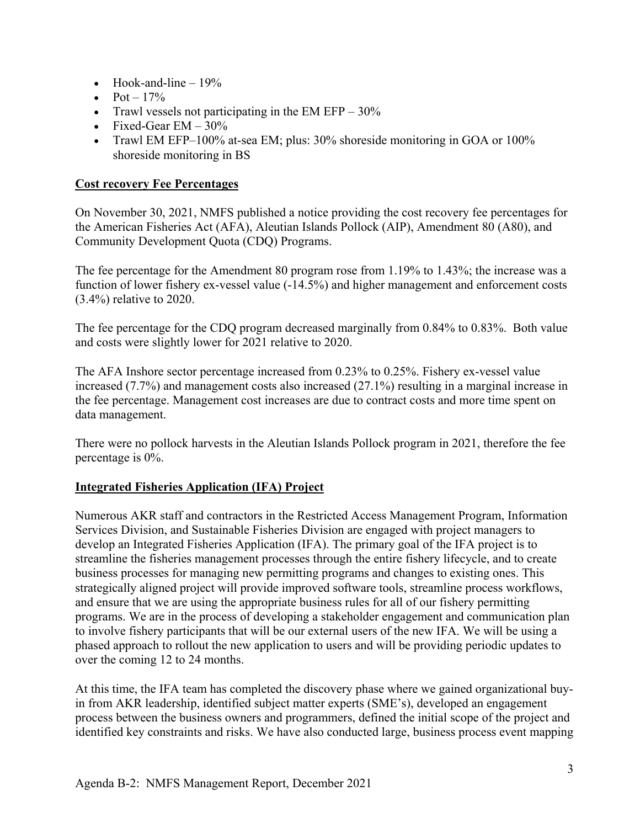- Hook-and-line  $-19\%$
- $Pot 17\%$
- Trawl vessels not participating in the EM EFP  $30\%$
- Fixed-Gear  $EM 30\%$
- Trawl EM EFP–100% at-sea EM; plus: 30% shoreside monitoring in GOA or 100% shoreside monitoring in BS

#### **Cost recovery Fee Percentages**

On November 30, 2021, NMFS published a notice providing the cost recovery fee percentages for the American Fisheries Act (AFA), Aleutian Islands Pollock (AIP), Amendment 80 (A80), and Community Development Quota (CDQ) Programs.

The fee percentage for the Amendment 80 program rose from 1.19% to 1.43%; the increase was a function of lower fishery ex-vessel value (-14.5%) and higher management and enforcement costs (3.4%) relative to 2020.

The fee percentage for the CDQ program decreased marginally from 0.84% to 0.83%. Both value and costs were slightly lower for 2021 relative to 2020.

The AFA Inshore sector percentage increased from 0.23% to 0.25%. Fishery ex-vessel value increased (7.7%) and management costs also increased (27.1%) resulting in a marginal increase in the fee percentage. Management cost increases are due to contract costs and more time spent on data management.

There were no pollock harvests in the Aleutian Islands Pollock program in 2021, therefore the fee percentage is 0%.

### **Integrated Fisheries Application (IFA) Project**

Numerous AKR staff and contractors in the Restricted Access Management Program, Information Services Division, and Sustainable Fisheries Division are engaged with project managers to develop an Integrated Fisheries Application (IFA). The primary goal of the IFA project is to streamline the fisheries management processes through the entire fishery lifecycle, and to create business processes for managing new permitting programs and changes to existing ones. This strategically aligned project will provide improved software tools, streamline process workflows, and ensure that we are using the appropriate business rules for all of our fishery permitting programs. We are in the process of developing a stakeholder engagement and communication plan to involve fishery participants that will be our external users of the new IFA. We will be using a phased approach to rollout the new application to users and will be providing periodic updates to over the coming 12 to 24 months.

At this time, the IFA team has completed the discovery phase where we gained organizational buyin from AKR leadership, identified subject matter experts (SME's), developed an engagement process between the business owners and programmers, defined the initial scope of the project and identified key constraints and risks. We have also conducted large, business process event mapping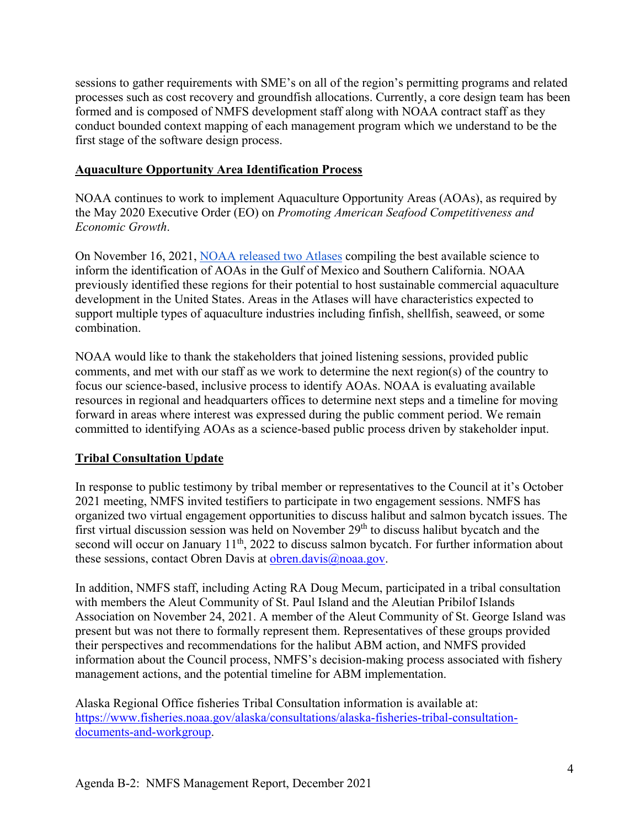sessions to gather requirements with SME's on all of the region's permitting programs and related processes such as cost recovery and groundfish allocations. Currently, a core design team has been formed and is composed of NMFS development staff along with NOAA contract staff as they conduct bounded context mapping of each management program which we understand to be the first stage of the software design process.

## **Aquaculture Opportunity Area Identification Process**

NOAA continues to work to implement Aquaculture Opportunity Areas (AOAs), as required by the May 2020 Executive Order (EO) on *Promoting American Seafood Competitiveness and Economic Growth*.

On November 16, 2021, [NOAA released two Atlases](https://www.noaa.gov/news-release/noaa-analyses-to-inform-aquaculture-siting-in-gulf-of-mexico-and-southern-california) compiling the best available science to inform the identification of AOAs in the Gulf of Mexico and Southern California. NOAA [previously identified these regions](https://www.fisheries.noaa.gov/feature-story/noaa-announces-regions-first-two-aquaculture-opportunity-areas-under-executive-order) for their potential to host sustainable commercial aquaculture development in the United States. Areas in the Atlases will have characteristics expected to support multiple types of aquaculture industries including finfish, shellfish, seaweed, or some combination.

NOAA would like to thank the stakeholders that joined listening sessions, provided public comments, and met with our staff as we work to determine the next region(s) of the country to focus our science-based, inclusive process to identify AOAs. NOAA is evaluating available resources in regional and headquarters offices to determine next steps and a timeline for moving forward in areas where interest was expressed during the public comment period. We remain committed to identifying AOAs as a science-based public process driven by stakeholder input.

# **Tribal Consultation Update**

In response to public testimony by tribal member or representatives to the Council at it's October 2021 meeting, NMFS invited testifiers to participate in two engagement sessions. NMFS has organized two virtual engagement opportunities to discuss halibut and salmon bycatch issues. The first virtual discussion session was held on November 29<sup>th</sup> to discuss halibut bycatch and the second will occur on January 11<sup>th</sup>, 2022 to discuss salmon bycatch. For further information about these sessions, contact Obren Davis at [obren.davis@noaa.gov.](mailto:obren.davis@noaa.gov)

In addition, NMFS staff, including Acting RA Doug Mecum, participated in a tribal consultation with members the Aleut Community of St. Paul Island and the Aleutian Pribilof Islands Association on November 24, 2021. A member of the Aleut Community of St. George Island was present but was not there to formally represent them. Representatives of these groups provided their perspectives and recommendations for the halibut ABM action, and NMFS provided information about the Council process, NMFS's decision-making process associated with fishery management actions, and the potential timeline for ABM implementation.

Alaska Regional Office fisheries Tribal Consultation information is available at: [https://www.fisheries.noaa.gov/alaska/consultations/alaska-fisheries-tribal-consultation](https://www.fisheries.noaa.gov/alaska/consultations/alaska-fisheries-tribal-consultation-documents-and-workgroup)[documents-and-workgroup.](https://www.fisheries.noaa.gov/alaska/consultations/alaska-fisheries-tribal-consultation-documents-and-workgroup)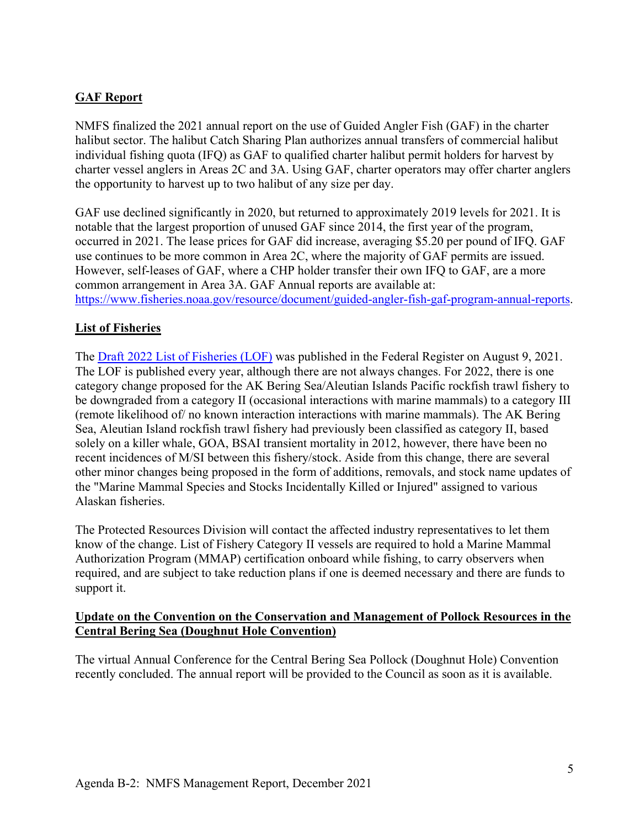## **GAF Report**

NMFS finalized the 2021 annual report on the use of Guided Angler Fish (GAF) in the charter halibut sector. The halibut Catch Sharing Plan authorizes annual transfers of commercial halibut individual fishing quota (IFQ) as GAF to qualified charter halibut permit holders for harvest by charter vessel anglers in Areas 2C and 3A. Using GAF, charter operators may offer charter anglers the opportunity to harvest up to two halibut of any size per day.

GAF use declined significantly in 2020, but returned to approximately 2019 levels for 2021. It is notable that the largest proportion of unused GAF since 2014, the first year of the program, occurred in 2021. The lease prices for GAF did increase, averaging \$5.20 per pound of IFQ. GAF use continues to be more common in Area 2C, where the majority of GAF permits are issued. However, self-leases of GAF, where a CHP holder transfer their own IFQ to GAF, are a more common arrangement in Area 3A. GAF Annual reports are available at: [https://www.fisheries.noaa.gov/resource/document/guided-angler-fish-gaf-program-annual-reports.](https://www.fisheries.noaa.gov/resource/document/guided-angler-fish-gaf-program-annual-reports)

### **List of Fisheries**

The [Draft 2022 List of Fisheries \(LOF\)](https://www.federalregister.gov/documents/2021/08/09/2021-16653/list-of-fisheries-for-2022) was published in the Federal Register on August 9, 2021. The LOF is published every year, although there are not always changes. For 2022, there is one category change proposed for the AK Bering Sea/Aleutian Islands Pacific rockfish trawl fishery to be downgraded from a category II (occasional interactions with marine mammals) to a category III (remote likelihood of/ no known interaction interactions with marine mammals). The AK Bering Sea, Aleutian Island rockfish trawl fishery had previously been classified as category II, based solely on a killer whale, GOA, BSAI transient mortality in 2012, however, there have been no recent incidences of M/SI between this fishery/stock. Aside from this change, there are several other minor changes being proposed in the form of additions, removals, and stock name updates of the "Marine Mammal Species and Stocks Incidentally Killed or Injured" assigned to various Alaskan fisheries.

The Protected Resources Division will contact the affected industry representatives to let them know of the change. List of Fishery Category II vessels are required to hold a Marine Mammal Authorization Program (MMAP) certification onboard while fishing, to carry observers when required, and are subject to take reduction plans if one is deemed necessary and there are funds to support it.

#### **Update on the Convention on the Conservation and Management of Pollock Resources in the Central Bering Sea (Doughnut Hole Convention)**

The virtual Annual Conference for the Central Bering Sea Pollock (Doughnut Hole) Convention recently concluded. The annual report will be provided to the Council as soon as it is available.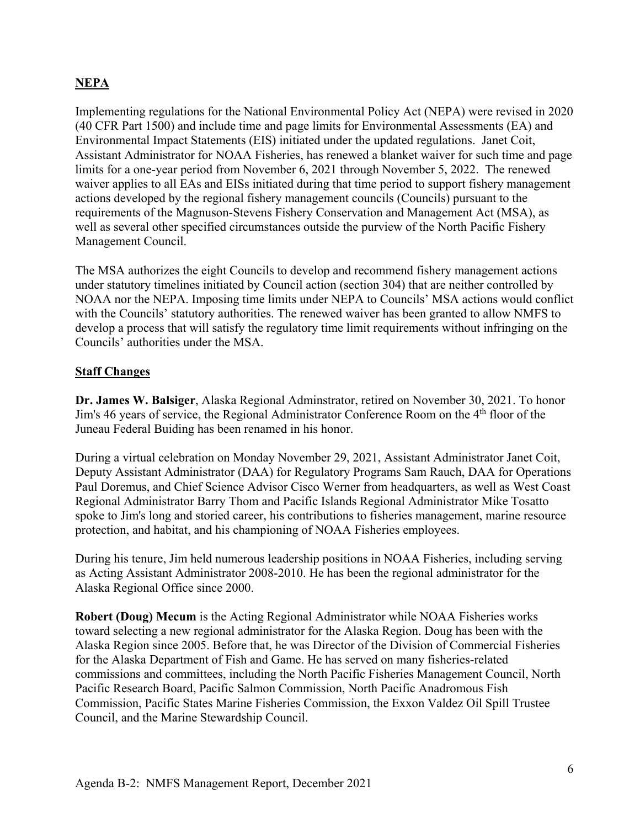## **NEPA**

Implementing regulations for the National Environmental Policy Act (NEPA) were revised in 2020 (40 CFR Part 1500) and include time and page limits for Environmental Assessments (EA) and Environmental Impact Statements (EIS) initiated under the updated regulations. Janet Coit, Assistant Administrator for NOAA Fisheries, has renewed a blanket waiver for such time and page limits for a one-year period from November 6, 2021 through November 5, 2022. The renewed waiver applies to all EAs and EISs initiated during that time period to support fishery management actions developed by the regional fishery management councils (Councils) pursuant to the requirements of the Magnuson-Stevens Fishery Conservation and Management Act (MSA), as well as several other specified circumstances outside the purview of the North Pacific Fishery Management Council.

The MSA authorizes the eight Councils to develop and recommend fishery management actions under statutory timelines initiated by Council action (section 304) that are neither controlled by NOAA nor the NEPA. Imposing time limits under NEPA to Councils' MSA actions would conflict with the Councils' statutory authorities. The renewed waiver has been granted to allow NMFS to develop a process that will satisfy the regulatory time limit requirements without infringing on the Councils' authorities under the MSA.

#### **Staff Changes**

**Dr. James W. Balsiger**, Alaska Regional Adminstrator, retired on November 30, 2021. To honor Jim's 46 years of service, the Regional Administrator Conference Room on the 4<sup>th</sup> floor of the Juneau Federal Buiding has been renamed in his honor.

During a virtual celebration on Monday November 29, 2021, Assistant Administrator Janet Coit, Deputy Assistant Administrator (DAA) for Regulatory Programs Sam Rauch, DAA for Operations Paul Doremus, and Chief Science Advisor Cisco Werner from headquarters, as well as West Coast Regional Administrator Barry Thom and Pacific Islands Regional Administrator Mike Tosatto spoke to Jim's long and storied career, his contributions to fisheries management, marine resource protection, and habitat, and his championing of NOAA Fisheries employees.

During his tenure, Jim held numerous leadership positions in NOAA Fisheries, including serving as Acting Assistant Administrator 2008-2010. He has been the regional administrator for the Alaska Regional Office since 2000.

**Robert (Doug) Mecum** is the Acting Regional Administrator while NOAA Fisheries works toward selecting a new regional administrator for the Alaska Region. Doug has been with the Alaska Region since 2005. Before that, he was Director of the Division of Commercial Fisheries for the Alaska Department of Fish and Game. He has served on many fisheries-related commissions and committees, including the North Pacific Fisheries Management Council, North Pacific Research Board, Pacific Salmon Commission, North Pacific Anadromous Fish Commission, Pacific States Marine Fisheries Commission, the Exxon Valdez Oil Spill Trustee Council, and the Marine Stewardship Council.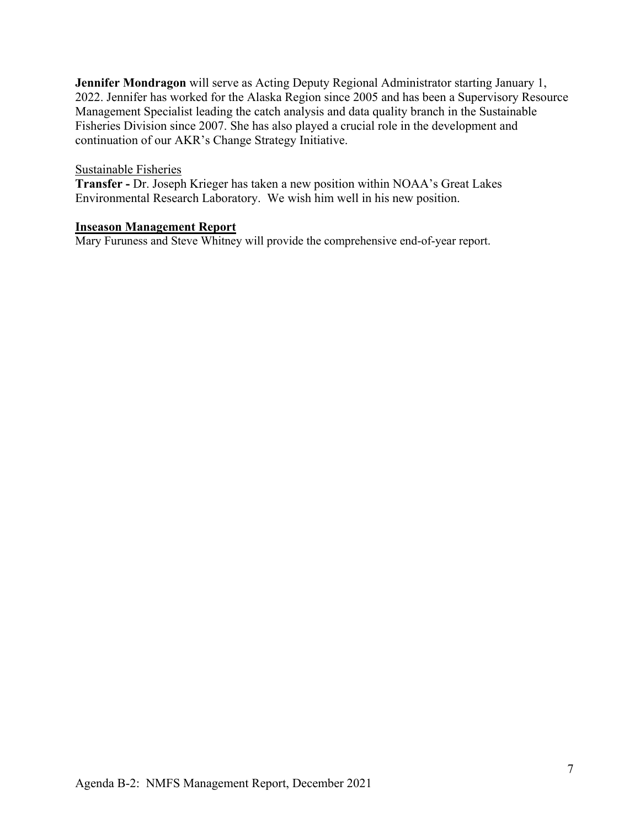**Jennifer Mondragon** will serve as Acting Deputy Regional Administrator starting January 1, 2022. Jennifer has worked for the Alaska Region since 2005 and has been a Supervisory Resource Management Specialist leading the catch analysis and data quality branch in the Sustainable Fisheries Division since 2007. She has also played a crucial role in the development and continuation of our AKR's Change Strategy Initiative.

#### Sustainable Fisheries

**Transfer -** Dr. Joseph Krieger has taken a new position within NOAA's Great Lakes Environmental Research Laboratory. We wish him well in his new position.

#### **Inseason Management Report**

Mary Furuness and Steve Whitney will provide the comprehensive end-of-year report.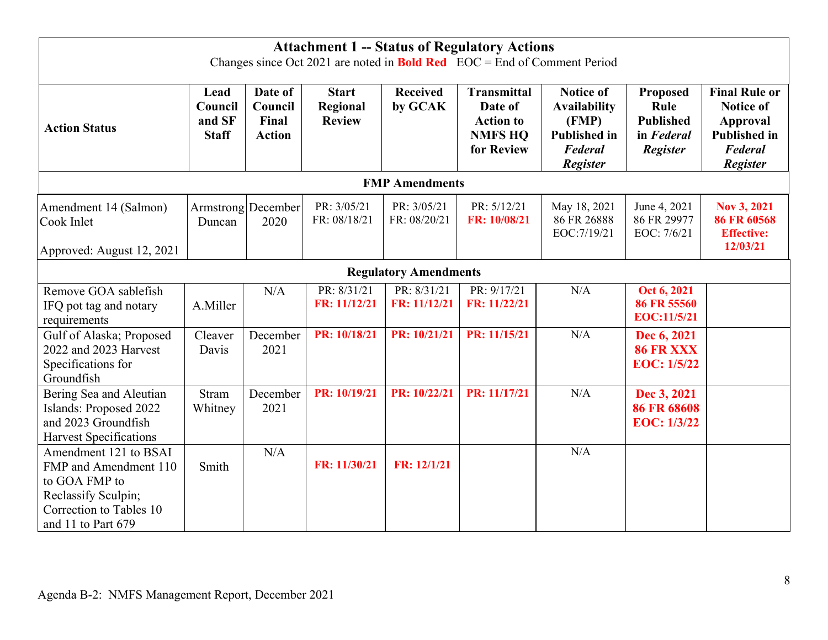|                                                                                                                                         |                                           |                                              |                                           |                              | <b>Attachment 1 -- Status of Regulatory Actions</b><br>Changes since Oct 2021 are noted in <b>Bold Red</b> EOC = End of Comment Period |                                                                                                       |                                                                       |                                                                                                                         |  |  |  |
|-----------------------------------------------------------------------------------------------------------------------------------------|-------------------------------------------|----------------------------------------------|-------------------------------------------|------------------------------|----------------------------------------------------------------------------------------------------------------------------------------|-------------------------------------------------------------------------------------------------------|-----------------------------------------------------------------------|-------------------------------------------------------------------------------------------------------------------------|--|--|--|
| <b>Action Status</b>                                                                                                                    | Lead<br>Council<br>and SF<br><b>Staff</b> | Date of<br>Council<br>Final<br><b>Action</b> | <b>Start</b><br>Regional<br><b>Review</b> | <b>Received</b><br>by GCAK   | <b>Transmittal</b><br>Date of<br><b>Action to</b><br><b>NMFS HQ</b><br>for Review                                                      | <b>Notice of</b><br><b>Availability</b><br>(FMP)<br><b>Published in</b><br><b>Federal</b><br>Register | <b>Proposed</b><br>Rule<br><b>Published</b><br>in Federal<br>Register | <b>Final Rule or</b><br><b>Notice of</b><br><b>Approval</b><br><b>Published in</b><br><b>Federal</b><br><b>Register</b> |  |  |  |
| <b>FMP</b> Amendments                                                                                                                   |                                           |                                              |                                           |                              |                                                                                                                                        |                                                                                                       |                                                                       |                                                                                                                         |  |  |  |
| Amendment 14 (Salmon)<br>Cook Inlet<br>Approved: August 12, 2021                                                                        | Duncan                                    | Armstrong December<br>2020                   | PR: 3/05/21<br>FR: 08/18/21               | PR: 3/05/21<br>FR: 08/20/21  | PR: 5/12/21<br>FR: 10/08/21                                                                                                            | May 18, 2021<br>86 FR 26888<br>EOC:7/19/21                                                            | June 4, 2021<br>86 FR 29977<br>EOC: 7/6/21                            | Nov 3, 2021<br>86 FR 60568<br><b>Effective:</b><br>12/03/21                                                             |  |  |  |
|                                                                                                                                         |                                           |                                              |                                           | <b>Regulatory Amendments</b> |                                                                                                                                        |                                                                                                       |                                                                       |                                                                                                                         |  |  |  |
| Remove GOA sablefish<br>IFQ pot tag and notary<br>requirements                                                                          | A.Miller                                  | N/A                                          | PR: 8/31/21<br>FR: 11/12/21               | PR: 8/31/21<br>FR: 11/12/21  | PR: 9/17/21<br>FR: 11/22/21                                                                                                            | N/A                                                                                                   | Oct 6, 2021<br>86 FR 55560<br><b>EOC:11/5/21</b>                      |                                                                                                                         |  |  |  |
| Gulf of Alaska; Proposed<br>2022 and 2023 Harvest<br>Specifications for<br>Groundfish                                                   | Cleaver<br>Davis                          | December<br>2021                             | PR: 10/18/21                              | PR: 10/21/21                 | PR: 11/15/21                                                                                                                           | N/A                                                                                                   | Dec 6, 2021<br>86 FR XXX<br><b>EOC: 1/5/22</b>                        |                                                                                                                         |  |  |  |
| Bering Sea and Aleutian<br>Islands: Proposed 2022<br>and 2023 Groundfish<br><b>Harvest Specifications</b>                               | <b>Stram</b><br>Whitney                   | December<br>2021                             | PR: 10/19/21                              | PR: 10/22/21                 | PR: 11/17/21                                                                                                                           | N/A                                                                                                   | Dec 3, 2021<br>86 FR 68608<br><b>EOC: 1/3/22</b>                      |                                                                                                                         |  |  |  |
| Amendment 121 to BSAI<br>FMP and Amendment 110<br>to GOA FMP to<br>Reclassify Sculpin;<br>Correction to Tables 10<br>and 11 to Part 679 | Smith                                     | N/A                                          | FR: 11/30/21                              | FR: 12/1/21                  |                                                                                                                                        | N/A                                                                                                   |                                                                       |                                                                                                                         |  |  |  |